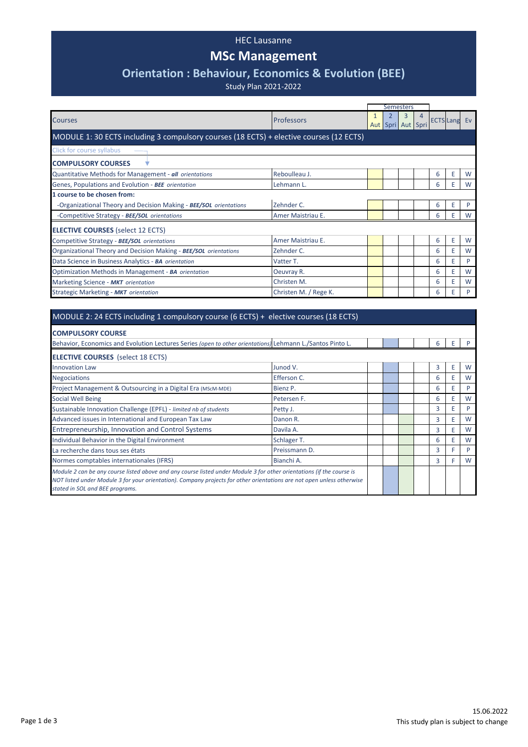## HEC Lausanne

## **MSc Management**

## **Orientation : Behaviour, Economics & Evolution (BEE)**

Study Plan 2021-2022

|                                                                                         |                       |  | <b>Semesters</b> |                        |  |                     |   |   |
|-----------------------------------------------------------------------------------------|-----------------------|--|------------------|------------------------|--|---------------------|---|---|
| <b>Courses</b>                                                                          | <b>Professors</b>     |  |                  | 3<br>Aut Spri Aut Spri |  | <b>ECTS Lang Ev</b> |   |   |
| MODULE 1: 30 ECTS including 3 compulsory courses (18 ECTS) + elective courses (12 ECTS) |                       |  |                  |                        |  |                     |   |   |
| Click for course syllabus                                                               |                       |  |                  |                        |  |                     |   |   |
| <b>COMPULSORY COURSES</b>                                                               |                       |  |                  |                        |  |                     |   |   |
| Quantitative Methods for Management - all orientations                                  | Reboulleau J.         |  |                  |                        |  | 6                   | E | W |
| Genes, Populations and Evolution - BEE orientation                                      | Lehmann L.            |  |                  |                        |  | 6                   | E | W |
| <b>1 course to be chosen from:</b>                                                      |                       |  |                  |                        |  |                     |   |   |
| -Organizational Theory and Decision Making - BEE/SOL orientations                       | Zehnder C.            |  |                  |                        |  | 6                   | Ε | P |
| -Competitive Strategy - BEE/SOL orientations                                            | Amer Maistriau E.     |  |                  |                        |  | 6                   | Ε | W |
| <b>ELECTIVE COURSES</b> (select 12 ECTS)                                                |                       |  |                  |                        |  |                     |   |   |
| Competitive Strategy - <b>BEE/SOL</b> orientations                                      | Amer Maistriau E.     |  |                  |                        |  | 6                   | Ε | W |
| Organizational Theory and Decision Making - <b>BEE/SOL</b> orientations                 | Zehnder C.            |  |                  |                        |  | 6                   | Ε | W |
| Data Science in Business Analytics - BA orientation                                     | Vatter T.             |  |                  |                        |  | 6                   | Ε | P |
| Optimization Methods in Management - BA orientation                                     | Oeuvray R.            |  |                  |                        |  | 6                   | E | W |
| Marketing Science - MKT orientation                                                     | Christen M.           |  |                  |                        |  | 6                   | Ε | W |
| Strategic Marketing - MKT orientation                                                   | Christen M. / Rege K. |  |                  |                        |  | 6                   | Ε | P |

## MODULE 2: 24 ECTS including 1 compulsory course (6 ECTS) + elective courses (18 ECTS)

| <b>COMPULSORY COURSE</b>                                                                                                                                                                                                                                                           |               |  |  |  |  |   |   |   |
|------------------------------------------------------------------------------------------------------------------------------------------------------------------------------------------------------------------------------------------------------------------------------------|---------------|--|--|--|--|---|---|---|
| Behavior, Economics and Evolution Lectures Series (open to other orientations) Lehmann L./Santos Pinto L.                                                                                                                                                                          |               |  |  |  |  | 6 | Е |   |
| <b>ELECTIVE COURSES</b> (select 18 ECTS)                                                                                                                                                                                                                                           |               |  |  |  |  |   |   |   |
| <b>Innovation Law</b>                                                                                                                                                                                                                                                              | Junod V.      |  |  |  |  | 3 | Ε | W |
| <b>Negociations</b>                                                                                                                                                                                                                                                                | Efferson C.   |  |  |  |  | 6 |   | W |
| Project Management & Outsourcing in a Digital Era (MScM-MDE)                                                                                                                                                                                                                       | Bienz P.      |  |  |  |  | 6 |   | P |
| Social Well Being                                                                                                                                                                                                                                                                  | Petersen F.   |  |  |  |  | 6 | Ε | W |
| Sustainable Innovation Challenge (EPFL) - limited nb of students                                                                                                                                                                                                                   | Petty J.      |  |  |  |  | 3 |   | P |
| Advanced issues in International and European Tax Law                                                                                                                                                                                                                              | Danon R.      |  |  |  |  | 3 |   | W |
| Entrepreneurship, Innovation and Control Systems                                                                                                                                                                                                                                   | Davila A.     |  |  |  |  | 3 | Ε | W |
| Individual Behavior in the Digital Environment                                                                                                                                                                                                                                     | Schlager T.   |  |  |  |  | 6 | Е | W |
| La recherche dans tous ses états                                                                                                                                                                                                                                                   | Preissmann D. |  |  |  |  | 3 |   | D |
| Normes comptables internationales (IFRS)                                                                                                                                                                                                                                           | Bianchi A.    |  |  |  |  | 3 | F | W |
| Module 2 can be any course listed above and any course listed under Module 3 for other orientations (if the course is<br>NOT listed under Module 3 for your orientation). Company projects for other orientations are not open unless otherwise<br>stated in SOL and BEE programs. |               |  |  |  |  |   |   |   |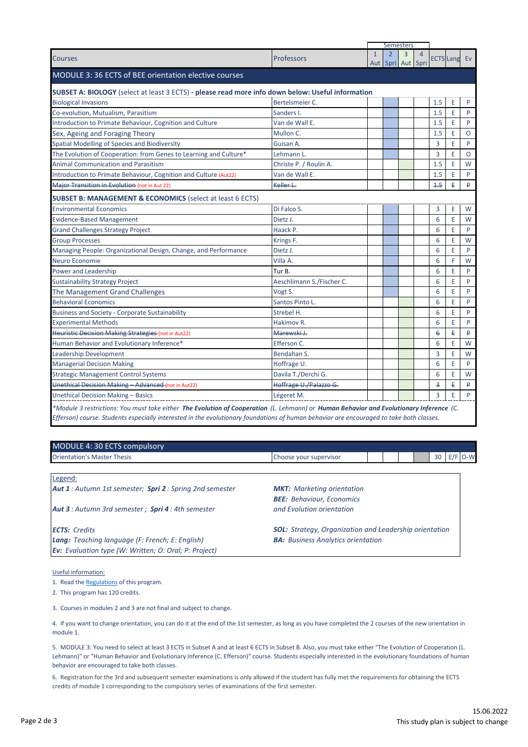|                                                                                                                                         |                           |              |                                     | <b>Semesters</b> |                |            |                     |          |
|-----------------------------------------------------------------------------------------------------------------------------------------|---------------------------|--------------|-------------------------------------|------------------|----------------|------------|---------------------|----------|
| <b>Courses</b>                                                                                                                          | Professors                | $\mathbf{1}$ | $\overline{2}$<br>Aut Spri Aut Spri | $\overline{3}$   | $\overline{4}$ |            | <b>ECTS Lang Ev</b> |          |
| MODULE 3: 36 ECTS of BEE orientation elective courses                                                                                   |                           |              |                                     |                  |                |            |                     |          |
| SUBSET A: BIOLOGY (select at least 3 ECTS) - please read more info down below: Useful information                                       |                           |              |                                     |                  |                |            |                     |          |
| <b>Biological Invasions</b>                                                                                                             | Bertelsmeier C.           |              |                                     |                  |                | 1.5        | E                   | P        |
| Co-evolution, Mutualism, Parasitism                                                                                                     | Sanders I.                |              |                                     |                  |                | 1.5        | E                   | P        |
| Introduction to Primate Behaviour, Cognition and Culture                                                                                | Van de Wall E.            |              |                                     |                  |                | 1.5        | E                   | P        |
| Sex, Ageing and Foraging Theory                                                                                                         | Mullon C.                 |              |                                     |                  |                | 1.5        | E                   | $\Omega$ |
| Spatial Modelling of Species and Biodiversity                                                                                           | Guisan A.                 |              |                                     |                  |                | 3          | E                   | P        |
| The Evolution of Cooperation: from Genes to Learning and Culture*                                                                       | Lehmann L.                |              |                                     |                  |                | 3          | E                   | $\Omega$ |
| <b>Animal Communication and Parasitism</b>                                                                                              | Christe P. / Roulin A.    |              |                                     |                  |                | 1.5        | E                   | W        |
| Introduction to Primate Behaviour, Cognition and Culture (Aut22)                                                                        | Van de Wall E.            |              |                                     |                  |                | 1.5        | E                   | P        |
| Major Transition in Evolution (not in Aut 22)                                                                                           | Keller L.                 |              |                                     |                  |                | 4.5        | €                   | ₽        |
| <b>SUBSET B: MANAGEMENT &amp; ECONOMICS (select at least 6 ECTS)</b>                                                                    |                           |              |                                     |                  |                |            |                     |          |
| <b>Environmental Economics</b>                                                                                                          | Di Falco S.               |              |                                     |                  |                | 3          | E                   | W        |
| <b>Evidence-Based Management</b>                                                                                                        | Dietz J.                  |              |                                     |                  |                | 6          | E                   | W        |
| <b>Grand Challenges Strategy Project</b>                                                                                                | Haack P.                  |              |                                     |                  |                | 6          | E                   | P        |
| <b>Group Processes</b>                                                                                                                  | Krings F.                 |              |                                     |                  |                | 6          | E                   | W        |
| Managing People: Organizational Design, Change, and Performance                                                                         | Dietz J.                  |              |                                     |                  |                | 6          | E                   | P        |
| Neuro Economie                                                                                                                          | Villa A.                  |              |                                     |                  |                | 6          | F                   | W        |
| Power and Leadership                                                                                                                    | Tur B.                    |              |                                     |                  |                | 6          | E                   | P        |
| <b>Sustainability Strategy Project</b>                                                                                                  | Aeschlimann S./Fischer C. |              |                                     |                  |                | 6          | E                   | P        |
| The Management Grand Challenges                                                                                                         | Vogt S.                   |              |                                     |                  |                | 6          | E                   | P        |
| <b>Behavioral Economics</b>                                                                                                             | Santos Pinto L.           |              |                                     |                  |                | 6          | E                   | P        |
| <b>Business and Society - Corporate Sustainability</b>                                                                                  | Strebel H.                |              |                                     |                  |                | 6          | E                   | P        |
| <b>Experimental Methods</b>                                                                                                             | Hakimov R.                |              |                                     |                  |                | 6          | E                   | P        |
| <b>Heuristic Decision Making Strategies (not in Aut22)</b>                                                                              | Marewski J.               |              |                                     |                  |                | $\epsilon$ | €                   | ₽        |
| Human Behavior and Evolutionary Inference*                                                                                              | Efferson C.               |              |                                     |                  |                | 6          | E                   | W        |
| Leadership Development                                                                                                                  | Bendahan S.               |              |                                     |                  |                | 3          | E                   | W        |
| <b>Managerial Decision Making</b>                                                                                                       | Hoffrage U.               |              |                                     |                  |                | 6          | E                   | P        |
| <b>Strategic Management Control Systems</b>                                                                                             | Davila T./Derchi G.       |              |                                     |                  |                | 6          | E                   | W        |
| Unethical Decision Making - Advanced (not in Aut22)                                                                                     | Hoffrage U./Palazzo G.    |              |                                     |                  |                | 3          | €                   | ₽        |
| <b>Unethical Decision Making - Basics</b>                                                                                               | Légeret M.                |              |                                     |                  |                | 3          | E                   | P        |
| *Module 3 restrictions: You must take either The Evolution of Cooperation (L. Lehmann) or Human Behavior and Evolutionary Inference (C. |                           |              |                                     |                  |                |            |                     |          |
| Efferson) course. Students especially interested in the evolutionary foundations of human behavior are encouraged to take both classes. |                           |              |                                     |                  |                |            |                     |          |

| MODULE 4: 30 ECTS compulsory                            |                                   |  |  |    |           |
|---------------------------------------------------------|-----------------------------------|--|--|----|-----------|
| <b>Orientation's Master Thesis</b>                      | Choose your supervisor            |  |  | 30 | $E/F$ O-W |
|                                                         |                                   |  |  |    |           |
| Legend:                                                 |                                   |  |  |    |           |
| Aut 1: Autumn 1st semester; Spri 2: Spring 2nd semester | <b>MKT:</b> Marketing orientation |  |  |    |           |
|                                                         | <b>BEE:</b> Behaviour, Economics  |  |  |    |           |

*Aut 3 : Autumn 3rd semester ; Spri 4 : 4th semester*

*Ev: Evaluation type (W: Written; O: Oral; P: Project)*

*ECTS: Credits SOL: Strategy, Organization and Leadership orientation Lang: Teaching language (F: French; E: English) BA: Business Analytics orientation*

*and Evolution orientation*

Useful information:

[1. Read the Regulations of this program.](https://www.unil.ch/files/live/sites/hec/files/doc/master/mscm/R%c3%a8glement%20MScM_2021.pdf)

2. This program has 120 credits.

3. Courses in modules 2 and 3 are not final and subject to change.

4. If you want to change orientation, you can do it at the end of the 1st semester, as long as you have completed the 2 courses of the new orientation in module 1.

5. MODULE 3: You need to select at least 3 ECTS in Subset A and at least 6 ECTS in Subset B. Also, you must take either "The Evolution of Cooperation (L. Lehmann)" or "Human Behavior and Evolutionary Inference (C. Efferson)" course. Students especially interested in the evolutionary foundations of human behavior are encouraged to take both classes.

6. Registration for the 3rd and subsequent semester examinations is only allowed if the student has fully met the requirements for obtaining the ECTS credits of module 1 corresponding to the compulsory series of examinations of the first semester.